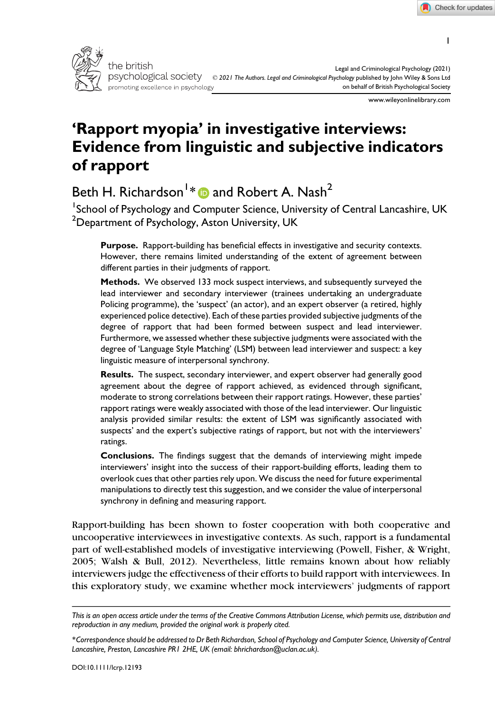1



www.wileyonlinelibrary.com

# 'Rapport myopia' in investigative interviews: Evidence from linguistic and subjective indicators of rapport

Beth H. Richardson $^{\mathsf{I} \, *}$  $^{\mathsf{I} \, *}$  $^{\mathsf{I} \, *}$   $\textcircled{\textsf{I}}$  and Robert A. Nash $^{\mathsf{2}}$ 

<sup>1</sup>School of Psychology and Computer Science, University of Central Lancashire, UK  $^{\rm 2}$ Department of Psychology, Aston University, UK

Purpose. Rapport-building has beneficial effects in investigative and security contexts. However, there remains limited understanding of the extent of agreement between different parties in their judgments of rapport.

Methods. We observed 133 mock suspect interviews, and subsequently surveyed the lead interviewer and secondary interviewer (trainees undertaking an undergraduate Policing programme), the 'suspect' (an actor), and an expert observer (a retired, highly experienced police detective). Each of these parties provided subjective judgments of the degree of rapport that had been formed between suspect and lead interviewer. Furthermore, we assessed whether these subjective judgments were associated with the degree of 'Language Style Matching' (LSM) between lead interviewer and suspect: a key linguistic measure of interpersonal synchrony.

Results. The suspect, secondary interviewer, and expert observer had generally good agreement about the degree of rapport achieved, as evidenced through significant, moderate to strong correlations between their rapport ratings. However, these parties' rapport ratings were weakly associated with those of the lead interviewer. Our linguistic analysis provided similar results: the extent of LSM was significantly associated with suspects' and the expert's subjective ratings of rapport, but not with the interviewers' ratings.

Conclusions. The findings suggest that the demands of interviewing might impede interviewers' insight into the success of their rapport-building efforts, leading them to overlook cues that other parties rely upon. We discuss the need for future experimental manipulations to directly test this suggestion, and we consider the value of interpersonal synchrony in defining and measuring rapport.

Rapport-building has been shown to foster cooperation with both cooperative and uncooperative interviewees in investigative contexts. As such, rapport is a fundamental part of well-established models of investigative interviewing (Powell, Fisher, & Wright, 2005; Walsh & Bull, 2012). Nevertheless, little remains known about how reliably interviewers judge the effectiveness of their efforts to build rapport with interviewees. In this exploratory study, we examine whether mock interviewers' judgments of rapport

This is an open access article under the terms of the [Creative Commons Attribution](http://creativecommons.org/licenses/by/4.0/) License, which permits use, distribution and reproduction in any medium, provided the original work is properly cited.

<sup>\*</sup>Correspondence should be addressed to Dr Beth Richardson, School of Psychology and Computer Science, University of Central Lancashire, Preston, Lancashire PR1 2HE, UK (email: [bhrichardson@uclan.ac.uk\)](mailto:).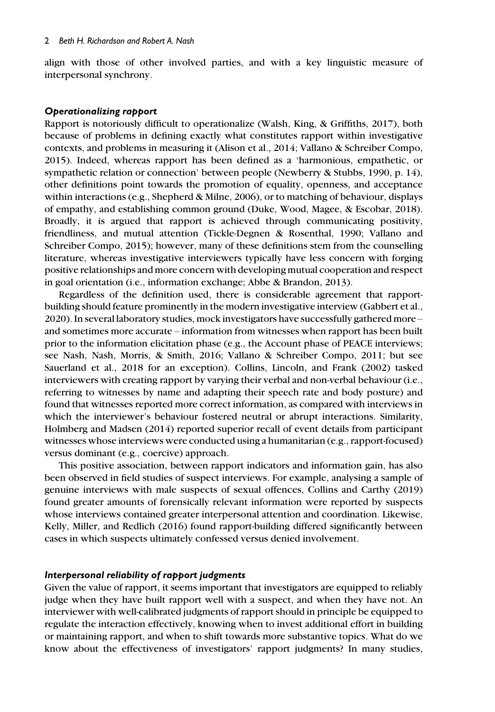align with those of other involved parties, and with a key linguistic measure of interpersonal synchrony.

#### Operationalizing rapport

Rapport is notoriously difficult to operationalize (Walsh, King, & Griffiths, 2017), both because of problems in defining exactly what constitutes rapport within investigative contexts, and problems in measuring it (Alison et al., 2014; Vallano & Schreiber Compo, 2015). Indeed, whereas rapport has been defined as a 'harmonious, empathetic, or sympathetic relation or connection' between people (Newberry & Stubbs, 1990, p. 14), other definitions point towards the promotion of equality, openness, and acceptance within interactions (e.g., Shepherd & Milne, 2006), or to matching of behaviour, displays of empathy, and establishing common ground (Duke, Wood, Magee, & Escobar, 2018). Broadly, it is argued that rapport is achieved through communicating positivity, friendliness, and mutual attention (Tickle-Degnen & Rosenthal, 1990; Vallano and Schreiber Compo, 2015); however, many of these definitions stem from the counselling literature, whereas investigative interviewers typically have less concern with forging positive relationships and more concern with developing mutual cooperation and respect in goal orientation (i.e., information exchange; Abbe & Brandon, 2013).

Regardless of the definition used, there is considerable agreement that rapportbuilding should feature prominently in the modern investigative interview (Gabbert et al., 2020). In several laboratory studies, mock investigators have successfully gathered more – and sometimes more accurate – information from witnesses when rapport has been built prior to the information elicitation phase (e.g., the Account phase of PEACE interviews; see Nash, Nash, Morris, & Smith, 2016; Vallano & Schreiber Compo, 2011; but see Sauerland et al., 2018 for an exception). Collins, Lincoln, and Frank (2002) tasked interviewers with creating rapport by varying their verbal and non-verbal behaviour (i.e., referring to witnesses by name and adapting their speech rate and body posture) and found that witnesses reported more correct information, as compared with interviews in which the interviewer's behaviour fostered neutral or abrupt interactions. Similarity, Holmberg and Madsen (2014) reported superior recall of event details from participant witnesses whose interviews were conducted using a humanitarian (e.g., rapport-focused) versus dominant (e.g., coercive) approach.

This positive association, between rapport indicators and information gain, has also been observed in field studies of suspect interviews. For example, analysing a sample of genuine interviews with male suspects of sexual offences, Collins and Carthy (2019) found greater amounts of forensically relevant information were reported by suspects whose interviews contained greater interpersonal attention and coordination. Likewise, Kelly, Miller, and Redlich (2016) found rapport-building differed significantly between cases in which suspects ultimately confessed versus denied involvement.

#### Interpersonal reliability of rapport judgments

Given the value of rapport, it seems important that investigators are equipped to reliably judge when they have built rapport well with a suspect, and when they have not. An interviewer with well-calibrated judgments of rapport should in principle be equipped to regulate the interaction effectively, knowing when to invest additional effort in building or maintaining rapport, and when to shift towards more substantive topics. What do we know about the effectiveness of investigators' rapport judgments? In many studies,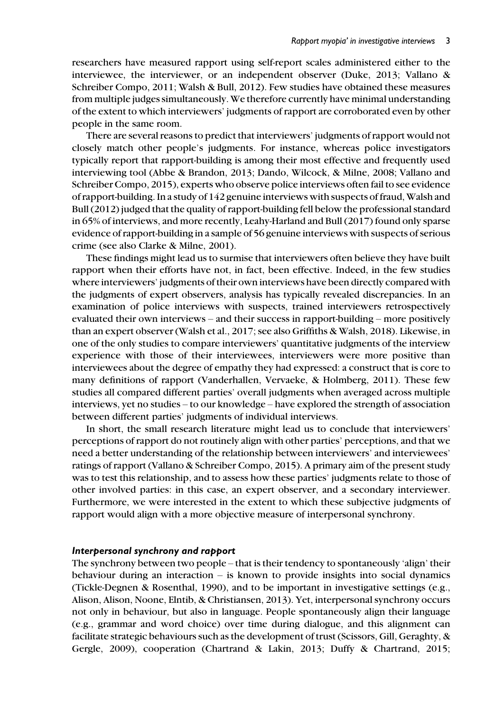researchers have measured rapport using self-report scales administered either to the interviewee, the interviewer, or an independent observer (Duke, 2013; Vallano & Schreiber Compo, 2011; Walsh & Bull, 2012). Few studies have obtained these measures from multiple judges simultaneously. We therefore currently have minimal understanding of the extent to which interviewers' judgments of rapport are corroborated even by other people in the same room.

There are several reasons to predict that interviewers' judgments of rapport would not closely match other people's judgments. For instance, whereas police investigators typically report that rapport-building is among their most effective and frequently used interviewing tool (Abbe & Brandon, 2013; Dando, Wilcock, & Milne, 2008; Vallano and Schreiber Compo, 2015), experts who observe police interviews often fail to see evidence of rapport-building. In a study of 142 genuine interviews with suspects of fraud, Walsh and Bull (2012) judged that the quality of rapport-building fell below the professional standard in 65% of interviews, and more recently, Leahy-Harland and Bull (2017) found only sparse evidence of rapport-building in a sample of 56 genuine interviews with suspects of serious crime (see also Clarke & Milne, 2001).

These findings might lead us to surmise that interviewers often believe they have built rapport when their efforts have not, in fact, been effective. Indeed, in the few studies where interviewers' judgments of their own interviews have been directly compared with the judgments of expert observers, analysis has typically revealed discrepancies. In an examination of police interviews with suspects, trained interviewers retrospectively evaluated their own interviews – and their success in rapport-building – more positively than an expert observer (Walsh et al., 2017; see also Griffiths & Walsh, 2018). Likewise, in one of the only studies to compare interviewers' quantitative judgments of the interview experience with those of their interviewees, interviewers were more positive than interviewees about the degree of empathy they had expressed: a construct that is core to many definitions of rapport (Vanderhallen, Vervaeke, & Holmberg, 2011). These few studies all compared different parties' overall judgments when averaged across multiple interviews, yet no studies – to our knowledge – have explored the strength of association between different parties' judgments of individual interviews.

In short, the small research literature might lead us to conclude that interviewers' perceptions of rapport do not routinely align with other parties' perceptions, and that we need a better understanding of the relationship between interviewers' and interviewees' ratings of rapport (Vallano & Schreiber Compo, 2015). A primary aim of the present study was to test this relationship, and to assess how these parties' judgments relate to those of other involved parties: in this case, an expert observer, and a secondary interviewer. Furthermore, we were interested in the extent to which these subjective judgments of rapport would align with a more objective measure of interpersonal synchrony.

#### Interpersonal synchrony and rapport

The synchrony between two people – that is their tendency to spontaneously 'align' their behaviour during an interaction  $-$  is known to provide insights into social dynamics (Tickle-Degnen & Rosenthal, 1990), and to be important in investigative settings (e.g., Alison, Alison, Noone, Elntib, & Christiansen, 2013). Yet, interpersonal synchrony occurs not only in behaviour, but also in language. People spontaneously align their language (e.g., grammar and word choice) over time during dialogue, and this alignment can facilitate strategic behaviours such as the development of trust (Scissors, Gill, Geraghty, & Gergle, 2009), cooperation (Chartrand & Lakin, 2013; Duffy & Chartrand, 2015;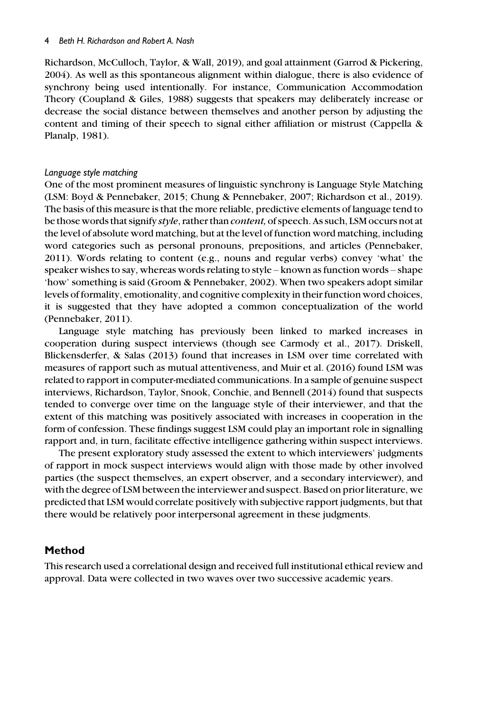Richardson, McCulloch, Taylor, & Wall, 2019), and goal attainment (Garrod & Pickering, 2004). As well as this spontaneous alignment within dialogue, there is also evidence of synchrony being used intentionally. For instance, Communication Accommodation Theory (Coupland & Giles, 1988) suggests that speakers may deliberately increase or decrease the social distance between themselves and another person by adjusting the content and timing of their speech to signal either affiliation or mistrust (Cappella & Planalp, 1981).

#### Language style matching

One of the most prominent measures of linguistic synchrony is Language Style Matching (LSM: Boyd & Pennebaker, 2015; Chung & Pennebaker, 2007; Richardson et al., 2019). The basis of this measure is that the more reliable, predictive elements of language tend to be those words that signify style, rather than *content*, of speech. As such, LSM occurs not at the level of absolute word matching, but at the level of function word matching, including word categories such as personal pronouns, prepositions, and articles (Pennebaker, 2011). Words relating to content (e.g., nouns and regular verbs) convey 'what' the speaker wishes to say, whereas words relating to style – known as function words – shape 'how' something is said (Groom & Pennebaker, 2002). When two speakers adopt similar levels of formality, emotionality, and cognitive complexity in their function word choices, it is suggested that they have adopted a common conceptualization of the world (Pennebaker, 2011).

Language style matching has previously been linked to marked increases in cooperation during suspect interviews (though see Carmody et al., 2017). Driskell, Blickensderfer, & Salas (2013) found that increases in LSM over time correlated with measures of rapport such as mutual attentiveness, and Muir et al. (2016) found LSM was related to rapport in computer-mediated communications. In a sample of genuine suspect interviews, Richardson, Taylor, Snook, Conchie, and Bennell (2014) found that suspects tended to converge over time on the language style of their interviewer, and that the extent of this matching was positively associated with increases in cooperation in the form of confession. These findings suggest LSM could play an important role in signalling rapport and, in turn, facilitate effective intelligence gathering within suspect interviews.

The present exploratory study assessed the extent to which interviewers' judgments of rapport in mock suspect interviews would align with those made by other involved parties (the suspect themselves, an expert observer, and a secondary interviewer), and with the degree of LSM between the interviewer and suspect. Based on prior literature, we predicted that LSM would correlate positively with subjective rapport judgments, but that there would be relatively poor interpersonal agreement in these judgments.

## Method

This research used a correlational design and received full institutional ethical review and approval. Data were collected in two waves over two successive academic years.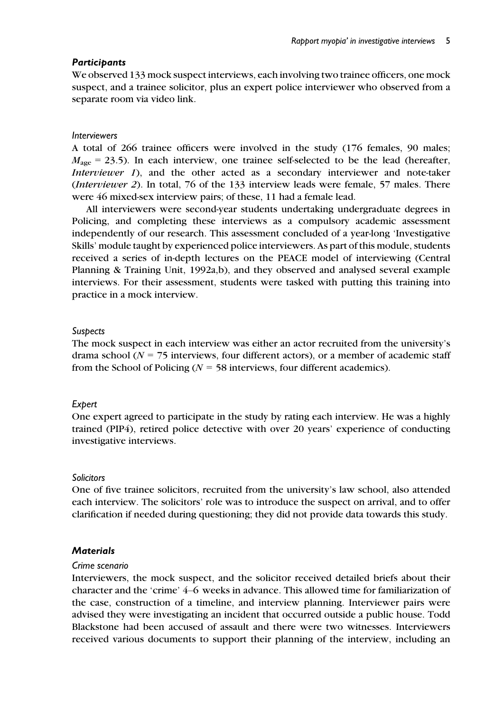## **Participants**

We observed 133 mock suspect interviews, each involving two trainee officers, one mock suspect, and a trainee solicitor, plus an expert police interviewer who observed from a separate room via video link.

#### **Interviewers**

A total of 266 trainee officers were involved in the study (176 females, 90 males;  $M_{\text{age}} = 23.5$ ). In each interview, one trainee self-selected to be the lead (hereafter, Interviewer 1), and the other acted as a secondary interviewer and note-taker (Interviewer 2). In total, 76 of the 133 interview leads were female, 57 males. There were 46 mixed-sex interview pairs; of these, 11 had a female lead.

All interviewers were second-year students undertaking undergraduate degrees in Policing, and completing these interviews as a compulsory academic assessment independently of our research. This assessment concluded of a year-long 'Investigative Skills' module taught by experienced police interviewers. As part of this module, students received a series of in-depth lectures on the PEACE model of interviewing (Central Planning & Training Unit, 1992a,b), and they observed and analysed several example interviews. For their assessment, students were tasked with putting this training into practice in a mock interview.

## **Suspects**

The mock suspect in each interview was either an actor recruited from the university's drama school ( $N = 75$  interviews, four different actors), or a member of academic staff from the School of Policing ( $N = 58$  interviews, four different academics).

#### Expert

One expert agreed to participate in the study by rating each interview. He was a highly trained (PIP4), retired police detective with over 20 years' experience of conducting investigative interviews.

#### **Solicitors**

One of five trainee solicitors, recruited from the university's law school, also attended each interview. The solicitors' role was to introduce the suspect on arrival, and to offer clarification if needed during questioning; they did not provide data towards this study.

## **Materials**

#### Crime scenario

Interviewers, the mock suspect, and the solicitor received detailed briefs about their character and the 'crime' 4–6 weeks in advance. This allowed time for familiarization of the case, construction of a timeline, and interview planning. Interviewer pairs were advised they were investigating an incident that occurred outside a public house. Todd Blackstone had been accused of assault and there were two witnesses. Interviewers received various documents to support their planning of the interview, including an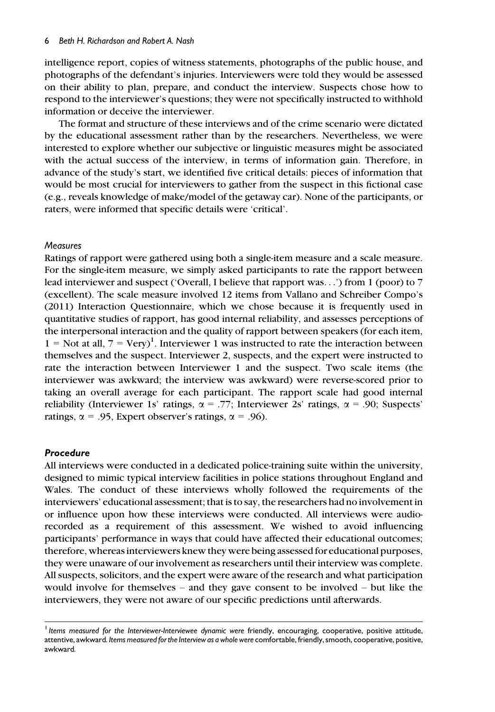intelligence report, copies of witness statements, photographs of the public house, and photographs of the defendant's injuries. Interviewers were told they would be assessed on their ability to plan, prepare, and conduct the interview. Suspects chose how to respond to the interviewer's questions; they were not specifically instructed to withhold information or deceive the interviewer.

The format and structure of these interviews and of the crime scenario were dictated by the educational assessment rather than by the researchers. Nevertheless, we were interested to explore whether our subjective or linguistic measures might be associated with the actual success of the interview, in terms of information gain. Therefore, in advance of the study's start, we identified five critical details: pieces of information that would be most crucial for interviewers to gather from the suspect in this fictional case (e.g., reveals knowledge of make/model of the getaway car). None of the participants, or raters, were informed that specific details were 'critical'.

#### **Measures**

Ratings of rapport were gathered using both a single-item measure and a scale measure. For the single-item measure, we simply asked participants to rate the rapport between lead interviewer and suspect ('Overall, I believe that rapport was...') from 1 (poor) to 7 (excellent). The scale measure involved 12 items from Vallano and Schreiber Compo's (2011) Interaction Questionnaire, which we chose because it is frequently used in quantitative studies of rapport, has good internal reliability, and assesses perceptions of the interpersonal interaction and the quality of rapport between speakers (for each item,  $1 =$  Not at all,  $7 = \text{Very}^1$ . Interviewer 1 was instructed to rate the interaction between themselves and the suspect. Interviewer 2, suspects, and the expert were instructed to rate the interaction between Interviewer 1 and the suspect. Two scale items (the interviewer was awkward; the interview was awkward) were reverse-scored prior to taking an overall average for each participant. The rapport scale had good internal reliability (Interviewer 1s' ratings,  $\alpha = .77$ ; Interviewer 2s' ratings,  $\alpha = .90$ ; Suspects' ratings,  $\alpha$  = .95, Expert observer's ratings,  $\alpha$  = .96).

#### Procedure

All interviews were conducted in a dedicated police-training suite within the university, designed to mimic typical interview facilities in police stations throughout England and Wales. The conduct of these interviews wholly followed the requirements of the interviewers' educational assessment; that is to say, the researchers had no involvement in or influence upon how these interviews were conducted. All interviews were audiorecorded as a requirement of this assessment. We wished to avoid influencing participants' performance in ways that could have affected their educational outcomes; therefore, whereas interviewers knew they were being assessed for educational purposes, they were unaware of our involvement as researchers until their interview was complete. All suspects, solicitors, and the expert were aware of the research and what participation would involve for themselves – and they gave consent to be involved – but like the interviewers, they were not aware of our specific predictions until afterwards.

<sup>&</sup>lt;sup>1</sup> Items measured for the Interviewer-Interviewee dynamic were friendly, encouraging, cooperative, positive attitude, attentive, awkward. Items measured for the Interview as a whole were comfortable, friendly, smooth, cooperative, positive, awkward.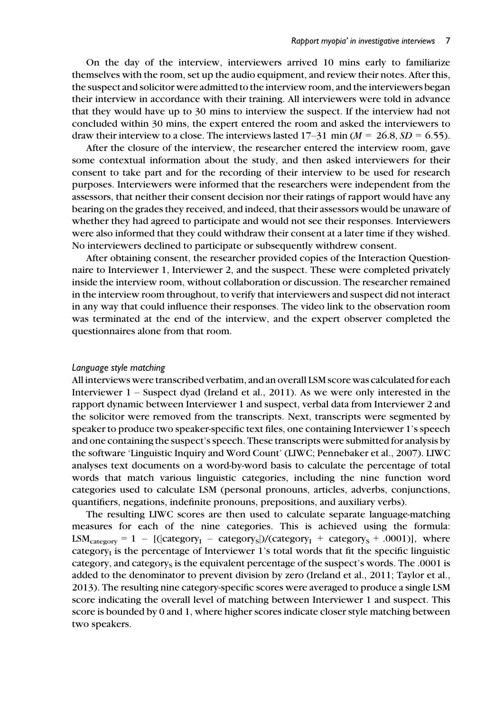On the day of the interview, interviewers arrived 10 mins early to familiarize themselves with the room, set up the audio equipment, and review their notes. After this, the suspect and solicitor were admitted to the interview room, and the interviewers began their interview in accordance with their training. All interviewers were told in advance that they would have up to 30 mins to interview the suspect. If the interview had not concluded within 30 mins, the expert entered the room and asked the interviewers to draw their interview to a close. The interviews lasted  $17-31$  min ( $M = 26.8$ ,  $SD = 6.55$ ).

After the closure of the interview, the researcher entered the interview room, gave some contextual information about the study, and then asked interviewers for their consent to take part and for the recording of their interview to be used for research purposes. Interviewers were informed that the researchers were independent from the assessors, that neither their consent decision nor their ratings of rapport would have any bearing on the grades they received, and indeed, that their assessors would be unaware of whether they had agreed to participate and would not see their responses. Interviewers were also informed that they could withdraw their consent at a later time if they wished. No interviewers declined to participate or subsequently withdrew consent.

After obtaining consent, the researcher provided copies of the Interaction Questionnaire to Interviewer 1, Interviewer 2, and the suspect. These were completed privately inside the interview room, without collaboration or discussion. The researcher remained in the interview room throughout, to verify that interviewers and suspect did not interact in any way that could influence their responses. The video link to the observation room was terminated at the end of the interview, and the expert observer completed the questionnaires alone from that room.

#### Language style matching

All interviews were transcribed verbatim, and an overall LSM score was calculated for each Interviewer 1 – Suspect dyad (Ireland et al., 2011). As we were only interested in the rapport dynamic between Interviewer 1 and suspect, verbal data from Interviewer 2 and the solicitor were removed from the transcripts. Next, transcripts were segmented by speaker to produce two speaker-specific text files, one containing Interviewer 1's speech and one containing the suspect's speech. These transcripts were submitted for analysis by the software 'Linguistic Inquiry and Word Count' (LIWC; Pennebaker et al., 2007). LIWC analyses text documents on a word-by-word basis to calculate the percentage of total words that match various linguistic categories, including the nine function word categories used to calculate LSM (personal pronouns, articles, adverbs, conjunctions, quantifiers, negations, indefinite pronouns, prepositions, and auxiliary verbs).

The resulting LIWC scores are then used to calculate separate language-matching measures for each of the nine categories. This is achieved using the formula:  $LSM<sub>category</sub> = 1 - [(|category<sub>I</sub> - category<sub>S</sub>]/(category<sub>I</sub> + category<sub>S</sub> + .0001)],$  where category $_I$  is the percentage of Interviewer 1's total words that fit the specific linguistic category, and category<sub>s</sub> is the equivalent percentage of the suspect's words. The  $.0001$  is added to the denominator to prevent division by zero (Ireland et al., 2011; Taylor et al., 2013). The resulting nine category-specific scores were averaged to produce a single LSM score indicating the overall level of matching between Interviewer 1 and suspect. This score is bounded by 0 and 1, where higher scores indicate closer style matching between two speakers.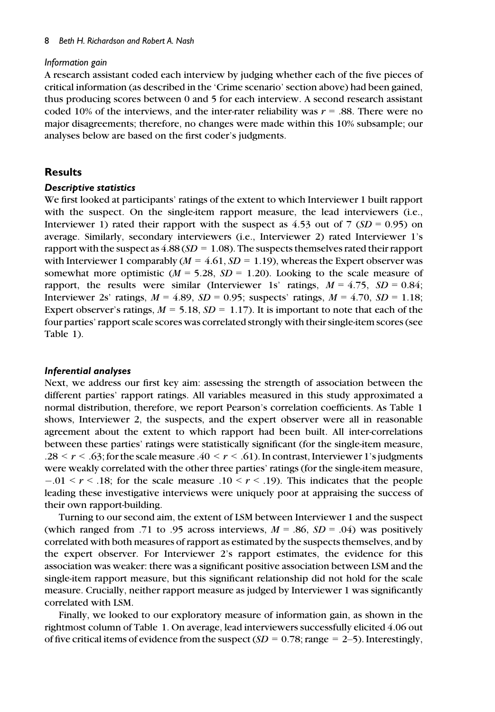#### Information gain

A research assistant coded each interview by judging whether each of the five pieces of critical information (as described in the 'Crime scenario' section above) had been gained, thus producing scores between 0 and 5 for each interview. A second research assistant coded 10% of the interviews, and the inter-rater reliability was  $r = .88$ . There were no major disagreements; therefore, no changes were made within this 10% subsample; our analyses below are based on the first coder's judgments.

## Results

#### Descriptive statistics

We first looked at participants' ratings of the extent to which Interviewer 1 built rapport with the suspect. On the single-item rapport measure, the lead interviewers *(i.e.*, Interviewer 1) rated their rapport with the suspect as 4.53 out of 7 ( $SD = 0.95$ ) on average. Similarly, secondary interviewers (i.e., Interviewer 2) rated Interviewer 1's rapport with the suspect as  $4.88(SD = 1.08)$ . The suspects themselves rated their rapport with Interviewer 1 comparably ( $M = 4.61$ ,  $SD = 1.19$ ), whereas the Expert observer was somewhat more optimistic ( $M = 5.28$ ,  $SD = 1.20$ ). Looking to the scale measure of rapport, the results were similar (Interviewer 1s' ratings,  $M = 4.75$ ,  $SD = 0.84$ ; Interviewer 2s' ratings,  $M = 4.89$ ,  $SD = 0.95$ ; suspects' ratings,  $M = 4.70$ ,  $SD = 1.18$ ; Expert observer's ratings,  $M = 5.18$ ,  $SD = 1.17$ ). It is important to note that each of the four parties' rapport scale scores was correlated strongly with their single-item scores (see Table 1).

#### Inferential analyses

Next, we address our first key aim: assessing the strength of association between the different parties' rapport ratings. All variables measured in this study approximated a normal distribution, therefore, we report Pearson's correlation coefficients. As Table 1 shows, Interviewer 2, the suspects, and the expert observer were all in reasonable agreement about the extent to which rapport had been built. All inter-correlations between these parties' ratings were statistically significant (for the single-item measure, .28  $\leq r \leq .63$ ; for the scale measure  $.40 \leq r \leq .61$ ). In contrast, Interviewer 1's judgments were weakly correlated with the other three parties' ratings (for the single-item measure,  $-0.01 \le r \le 0.18$ ; for the scale measure  $0.10 \le r \le 0.19$ . This indicates that the people leading these investigative interviews were uniquely poor at appraising the success of their own rapport-building.

Turning to our second aim, the extent of LSM between Interviewer 1 and the suspect (which ranged from .71 to .95 across interviews,  $M = .86$ ,  $SD = .04$ ) was positively correlated with both measures of rapport as estimated by the suspects themselves, and by the expert observer. For Interviewer 2's rapport estimates, the evidence for this association was weaker: there was a significant positive association between LSM and the single-item rapport measure, but this significant relationship did not hold for the scale measure. Crucially, neither rapport measure as judged by Interviewer 1 was significantly correlated with LSM.

Finally, we looked to our exploratory measure of information gain, as shown in the rightmost column of Table 1. On average, lead interviewers successfully elicited 4.06 out of five critical items of evidence from the suspect  $(SD = 0.78; \text{range} = 2-5)$ . Interestingly,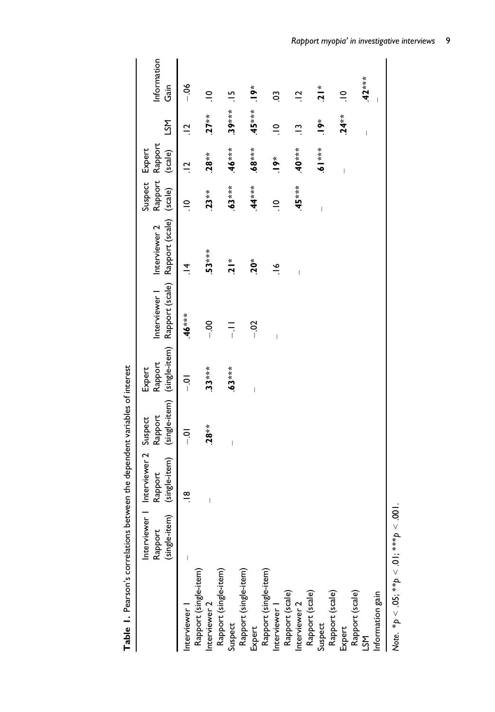|                                        | (single-item)<br>Interviewer<br>Rapport | Interviewer 2 Suspect<br>(single-item)<br>Rapport | Rapport        | Rapport<br>Expert        | (single-item) (single-item) Rapport (scale) Rapport (scale) (scale) | Interviewer   Interviewer 2 | Rapport Rapport<br>Suspect Expert | (scale)                  | RΣ                             | Information<br>Gain |
|----------------------------------------|-----------------------------------------|---------------------------------------------------|----------------|--------------------------|---------------------------------------------------------------------|-----------------------------|-----------------------------------|--------------------------|--------------------------------|---------------------|
| nterviewer                             |                                         | $\frac{8}{1}$                                     | $\overline{5}$ | $\overline{5}$           | $46***$                                                             | $\vec{r}$                   | $\supseteq$                       | $\frac{1}{2}$            | $\frac{1}{2}$                  | $-06$               |
| Rapport (single-item)<br>nterviewer 2  |                                         | $\begin{array}{c} \end{array}$                    | $.28**$        | $33***$                  | $\frac{8}{1}$                                                       | $53***$                     | $23**$                            | $28**$                   | $.27**$                        | $\supseteq$         |
| Rapport (single-item)                  |                                         |                                                   |                |                          |                                                                     |                             |                                   |                          |                                |                     |
| Suspect                                |                                         |                                                   |                | $63***$                  | Ξ.                                                                  | $\frac{1}{2}$               | $63***$                           | $46***$                  | $39***$                        | $\frac{5}{1}$       |
| Rapport (single-item)                  |                                         |                                                   |                |                          |                                                                     |                             |                                   |                          |                                |                     |
| Expert                                 |                                         |                                                   |                | $\overline{\phantom{a}}$ | $-02$                                                               | $.20*$                      | $44***$                           | $-88**$                  | $-45***$                       | $\ddot{\bullet}$    |
| Rapport (single-item)<br>Interviewer 1 |                                         |                                                   |                |                          |                                                                     |                             |                                   |                          |                                |                     |
|                                        |                                         |                                                   |                |                          | $\overline{\phantom{a}}$                                            | $\frac{8}{1}$               | $\supseteq$                       | $\ddot{\bullet}$         | $\frac{1}{2}$                  | So                  |
| Rapport (scale)                        |                                         |                                                   |                |                          |                                                                     |                             |                                   |                          |                                |                     |
| Interviewer 2                          |                                         |                                                   |                |                          |                                                                     |                             | $45***$                           | $-40***$                 | $\frac{1}{2}$                  | $\vec{a}$           |
| Rapport (scale)                        |                                         |                                                   |                |                          |                                                                     |                             |                                   |                          |                                |                     |
| Suspect                                |                                         |                                                   |                |                          |                                                                     |                             | $\overline{\phantom{a}}$          | $5 - 19$                 | $.9*$                          | $\frac{1}{2}$       |
| Rapport (scale)                        |                                         |                                                   |                |                          |                                                                     |                             |                                   |                          |                                |                     |
| Expert                                 |                                         |                                                   |                |                          |                                                                     |                             |                                   | $\overline{\phantom{a}}$ | $24**$                         | $\frac{1}{2}$       |
| Rapport (scale)<br>LSM                 |                                         |                                                   |                |                          |                                                                     |                             |                                   |                          |                                |                     |
|                                        |                                         |                                                   |                |                          |                                                                     |                             |                                   |                          | $\begin{array}{c} \end{array}$ | $42***$             |
| Information gain                       |                                         |                                                   |                |                          |                                                                     |                             |                                   |                          |                                |                     |
|                                        |                                         |                                                   |                |                          |                                                                     |                             |                                   |                          |                                |                     |

Table 1. Pearson's correlations between the dependent variables of interest Table 1. Pearson's correlations between the dependent variables of interest

Note. \* $p < .05$ ; \*\* $p < .01$ ; \*\*\* $p < .001$ .  $\text{Note.} \, {}^*\!p < .05; {}^{**}\!p < .01; {}^{***}\!p < .001.$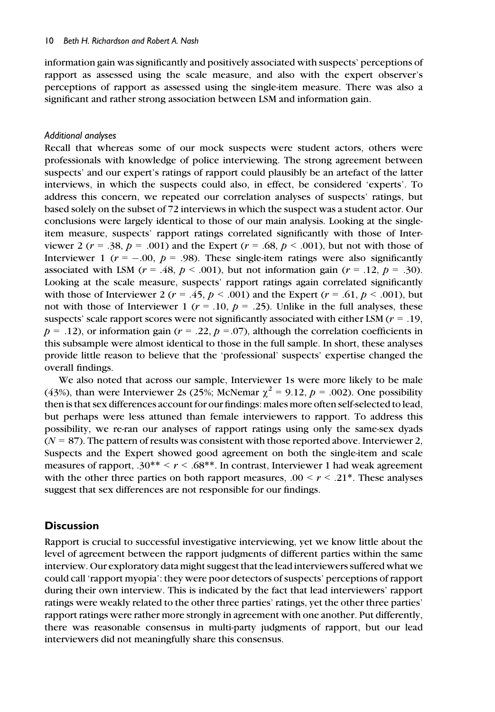information gain was significantly and positively associated with suspects' perceptions of rapport as assessed using the scale measure, and also with the expert observer's perceptions of rapport as assessed using the single-item measure. There was also a significant and rather strong association between LSM and information gain.

## Additional analyses

Recall that whereas some of our mock suspects were student actors, others were professionals with knowledge of police interviewing. The strong agreement between suspects' and our expert's ratings of rapport could plausibly be an artefact of the latter interviews, in which the suspects could also, in effect, be considered 'experts'. To address this concern, we repeated our correlation analyses of suspects' ratings, but based solely on the subset of 72 interviews in which the suspect was a student actor. Our conclusions were largely identical to those of our main analysis. Looking at the singleitem measure, suspects' rapport ratings correlated significantly with those of Interviewer 2 ( $r = .38$ ,  $p = .001$ ) and the Expert ( $r = .68$ ,  $p < .001$ ), but not with those of Interviewer 1 ( $r = -.00$ ,  $p = .98$ ). These single-item ratings were also significantly associated with LSM ( $r = .48$ ,  $p < .001$ ), but not information gain ( $r = .12$ ,  $p = .30$ ). Looking at the scale measure, suspects' rapport ratings again correlated significantly with those of Interviewer 2 ( $r = .45$ ,  $p < .001$ ) and the Expert ( $r = .61$ ,  $p < .001$ ), but not with those of Interviewer 1 ( $r = .10$ ,  $p = .25$ ). Unlike in the full analyses, these suspects' scale rapport scores were not significantly associated with either LSM ( $r = .19$ ,  $p = .12$ , or information gain ( $r = .22$ ,  $p = .07$ ), although the correlation coefficients in this subsample were almost identical to those in the full sample. In short, these analyses provide little reason to believe that the 'professional' suspects' expertise changed the overall findings.

We also noted that across our sample, Interviewer 1s were more likely to be male (43%), than were Interviewer 2s (25%; McNemar  $\chi^2 = 9.12$ ,  $p = .002$ ). One possibility then is that sex differences account for our findings: males more often self-selected to lead, but perhaps were less attuned than female interviewers to rapport. To address this possibility, we re-ran our analyses of rapport ratings using only the same-sex dyads  $(N = 87)$ . The pattern of results was consistent with those reported above. Interviewer 2, Suspects and the Expert showed good agreement on both the single-item and scale measures of rapport,  $.30^{**} \le r \le .68^{**}$ . In contrast, Interviewer 1 had weak agreement with the other three parties on both rapport measures,  $.00 \le r \le .21^*$ . These analyses suggest that sex differences are not responsible for our findings.

# **Discussion**

Rapport is crucial to successful investigative interviewing, yet we know little about the level of agreement between the rapport judgments of different parties within the same interview. Our exploratory data might suggest that the lead interviewers suffered what we could call 'rapport myopia': they were poor detectors of suspects' perceptions of rapport during their own interview. This is indicated by the fact that lead interviewers' rapport ratings were weakly related to the other three parties' ratings, yet the other three parties' rapport ratings were rather more strongly in agreement with one another. Put differently, there was reasonable consensus in multi-party judgments of rapport, but our lead interviewers did not meaningfully share this consensus.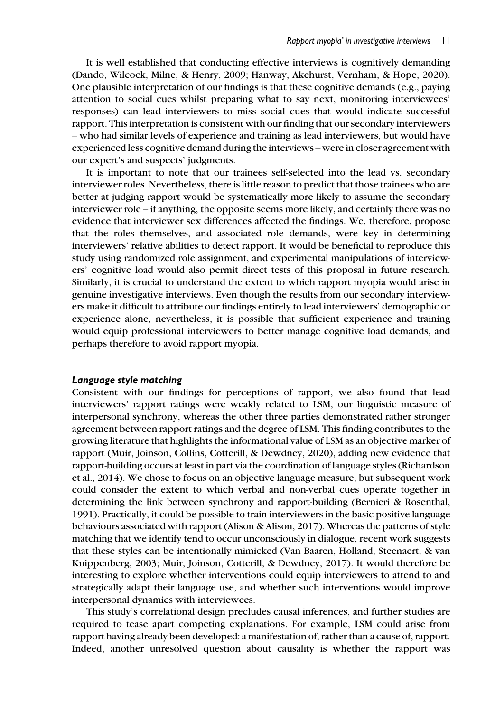It is well established that conducting effective interviews is cognitively demanding (Dando, Wilcock, Milne, & Henry, 2009; Hanway, Akehurst, Vernham, & Hope, 2020). One plausible interpretation of our findings is that these cognitive demands (e.g., paying attention to social cues whilst preparing what to say next, monitoring interviewees' responses) can lead interviewers to miss social cues that would indicate successful rapport. This interpretation is consistent with our finding that our secondary interviewers – who had similar levels of experience and training as lead interviewers, but would have experienced less cognitive demand during the interviews – were in closer agreement with our expert's and suspects' judgments.

It is important to note that our trainees self-selected into the lead vs. secondary interviewer roles. Nevertheless, there is little reason to predict that those trainees who are better at judging rapport would be systematically more likely to assume the secondary interviewer role – if anything, the opposite seems more likely, and certainly there was no evidence that interviewer sex differences affected the findings. We, therefore, propose that the roles themselves, and associated role demands, were key in determining interviewers' relative abilities to detect rapport. It would be beneficial to reproduce this study using randomized role assignment, and experimental manipulations of interviewers' cognitive load would also permit direct tests of this proposal in future research. Similarly, it is crucial to understand the extent to which rapport myopia would arise in genuine investigative interviews. Even though the results from our secondary interviewers make it difficult to attribute our findings entirely to lead interviewers' demographic or experience alone, nevertheless, it is possible that sufficient experience and training would equip professional interviewers to better manage cognitive load demands, and perhaps therefore to avoid rapport myopia.

#### Language style matching

Consistent with our findings for perceptions of rapport, we also found that lead interviewers' rapport ratings were weakly related to LSM, our linguistic measure of interpersonal synchrony, whereas the other three parties demonstrated rather stronger agreement between rapport ratings and the degree of LSM. This finding contributes to the growing literature that highlights the informational value of LSM as an objective marker of rapport (Muir, Joinson, Collins, Cotterill, & Dewdney, 2020), adding new evidence that rapport-building occurs at least in part via the coordination of language styles (Richardson et al., 2014). We chose to focus on an objective language measure, but subsequent work could consider the extent to which verbal and non-verbal cues operate together in determining the link between synchrony and rapport-building (Bernieri & Rosenthal, 1991). Practically, it could be possible to train interviewers in the basic positive language behaviours associated with rapport (Alison & Alison, 2017). Whereas the patterns of style matching that we identify tend to occur unconsciously in dialogue, recent work suggests that these styles can be intentionally mimicked (Van Baaren, Holland, Steenaert, & van Knippenberg, 2003; Muir, Joinson, Cotterill, & Dewdney, 2017). It would therefore be interesting to explore whether interventions could equip interviewers to attend to and strategically adapt their language use, and whether such interventions would improve interpersonal dynamics with interviewees.

This study's correlational design precludes causal inferences, and further studies are required to tease apart competing explanations. For example, LSM could arise from rapport having already been developed: a manifestation of, rather than a cause of, rapport. Indeed, another unresolved question about causality is whether the rapport was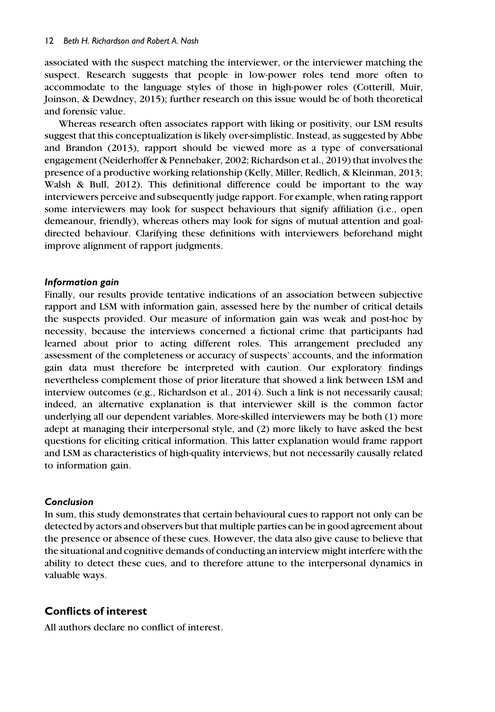associated with the suspect matching the interviewer, or the interviewer matching the suspect. Research suggests that people in low-power roles tend more often to accommodate to the language styles of those in high-power roles (Cotterill, Muir, Joinson, & Dewdney, 2015); further research on this issue would be of both theoretical and forensic value.

Whereas research often associates rapport with liking or positivity, our LSM results suggest that this conceptualization is likely over-simplistic. Instead, as suggested by Abbe and Brandon (2013), rapport should be viewed more as a type of conversational engagement (Neiderhoffer & Pennebaker, 2002; Richardson et al., 2019) that involves the presence of a productive working relationship (Kelly, Miller, Redlich, & Kleinman, 2013; Walsh & Bull, 2012). This definitional difference could be important to the way interviewers perceive and subsequently judge rapport. For example, when rating rapport some interviewers may look for suspect behaviours that signify affiliation (i.e., open demeanour, friendly), whereas others may look for signs of mutual attention and goaldirected behaviour. Clarifying these definitions with interviewers beforehand might improve alignment of rapport judgments.

## Information gain

Finally, our results provide tentative indications of an association between subjective rapport and LSM with information gain, assessed here by the number of critical details the suspects provided. Our measure of information gain was weak and post-hoc by necessity, because the interviews concerned a fictional crime that participants had learned about prior to acting different roles. This arrangement precluded any assessment of the completeness or accuracy of suspects' accounts, and the information gain data must therefore be interpreted with caution. Our exploratory findings nevertheless complement those of prior literature that showed a link between LSM and interview outcomes (e.g., Richardson et al., 2014). Such a link is not necessarily causal; indeed, an alternative explanation is that interviewer skill is the common factor underlying all our dependent variables. More-skilled interviewers may be both (1) more adept at managing their interpersonal style, and (2) more likely to have asked the best questions for eliciting critical information. This latter explanation would frame rapport and LSM as characteristics of high-quality interviews, but not necessarily causally related to information gain.

## Conclusion

In sum, this study demonstrates that certain behavioural cues to rapport not only can be detected by actors and observers but that multiple parties can be in good agreement about the presence or absence of these cues. However, the data also give cause to believe that the situational and cognitive demands of conducting an interview might interfere with the ability to detect these cues, and to therefore attune to the interpersonal dynamics in valuable ways.

# Conflicts of interest

All authors declare no conflict of interest.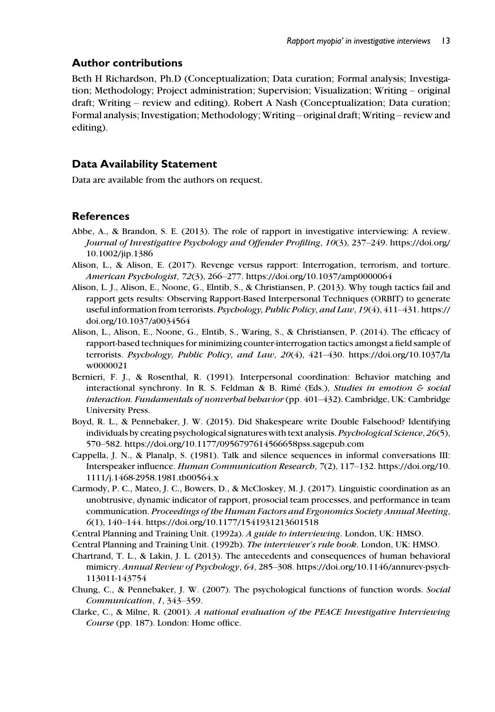# Author contributions

Beth H Richardson, Ph.D (Conceptualization; Data curation; Formal analysis; Investigation; Methodology; Project administration; Supervision; Visualization; Writing – original draft; Writing – review and editing). Robert A Nash (Conceptualization; Data curation; Formal analysis; Investigation; Methodology; Writing – original draft; Writing – review and editing).

# Data Availability Statement

Data are available from the authors on request.

# References

- Abbe, A., & Brandon, S. E. (2013). The role of rapport in investigative interviewing: A review. Journal of Investigative Psychology and Offender Profiling, 10(3), 237–249. [https://doi.org/](https://doi.org/10.1002/jip.1386) [10.1002/jip.1386](https://doi.org/10.1002/jip.1386)
- Alison, L., & Alison, E. (2017). Revenge versus rapport: Interrogation, terrorism, and torture. American Psychologist, 72(3), 266–277.<https://doi.org/10.1037/amp0000064>
- Alison, L. J., Alison, E., Noone, G., Elntib, S., & Christiansen, P. (2013). Why tough tactics fail and rapport gets results: Observing Rapport-Based Interpersonal Techniques (ORBIT) to generate useful information from terrorists. Psychology, Public Policy, and Law, 19(4), 411–431. [https://](https://doi.org/10.1037/a0034564) [doi.org/10.1037/a0034564](https://doi.org/10.1037/a0034564)
- Alison, L., Alison, E., Noone, G., Elntib, S., Waring, S., & Christiansen, P. (2014). The efficacy of rapport-based techniques for minimizing counter-interrogation tactics amongst a field sample of terrorists. Psychology, Public Policy, and Law, 20(4), 421–430. [https://doi.org/10.1037/la](https://doi.org/10.1037/law0000021) [w0000021](https://doi.org/10.1037/law0000021)
- Bernieri, F. J., & Rosenthal, R. (1991). Interpersonal coordination: Behavior matching and interactional synchrony. In R. S. Feldman & B. Rimé (Eds.), *Studies in emotion & social* interaction. Fundamentals of nonverbal behavior (pp. 401–432). Cambridge, UK: Cambridge University Press.
- Boyd, R. L., & Pennebaker, J. W. (2015). Did Shakespeare write Double Falsehood? Identifying individuals by creating psychological signatures with text analysis. Psychological Science, 26(5), 570–582.<https://doi.org/10.1177/0956797614566658pss.sagepub.com>
- Cappella, J. N., & Planalp, S. (1981). Talk and silence sequences in informal conversations III: Interspeaker influence. Human Communication Research, 7(2), 117–132. [https://doi.org/10.](https://doi.org/10.1111/j.1468-2958.1981.tb00564.x) [1111/j.1468-2958.1981.tb00564.x](https://doi.org/10.1111/j.1468-2958.1981.tb00564.x)
- Carmody, P. C., Mateo, J. C., Bowers, D., & McCloskey, M. J. (2017). Linguistic coordination as an unobtrusive, dynamic indicator of rapport, prosocial team processes, and performance in team communication. Proceedings of the Human Factors and Ergonomics Society Annual Meeting, 6(1), 140–144.<https://doi.org/10.1177/1541931213601518>
- Central Planning and Training Unit. (1992a). A guide to interviewing. London, UK: HMSO.

Central Planning and Training Unit. (1992b). The interviewer's rule book. London, UK: HMSO.

- Chartrand, T. L., & Lakin, J. L. (2013). The antecedents and consequences of human behavioral mimicry. Annual Review of Psychology, 64, 285–308. [https://doi.org/10.1146/annurev-psych-](https://doi.org/10.1146/annurev-psych-113011-143754)[113011-143754](https://doi.org/10.1146/annurev-psych-113011-143754)
- Chung, C., & Pennebaker, J. W. (2007). The psychological functions of function words. Social Communication, 1, 343–359.
- Clarke, C., & Milne, R. (2001). A national evaluation of the PEACE Investigative Interviewing Course (pp. 187). London: Home office.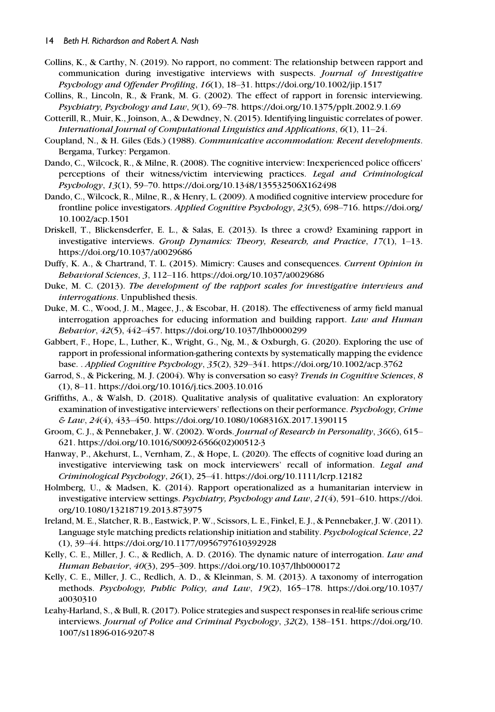- Collins, K., & Carthy, N. (2019). No rapport, no comment: The relationship between rapport and communication during investigative interviews with suspects. Journal of Investigative Psychology and Offender Profiling, 16(1), 18–31.<https://doi.org/10.1002/jip.1517>
- Collins, R., Lincoln, R., & Frank, M. G. (2002). The effect of rapport in forensic interviewing. Psychiatry, Psychology and Law, 9(1), 69–78.<https://doi.org/10.1375/pplt.2002.9.1.69>
- Cotterill, R., Muir, K., Joinson, A., & Dewdney, N. (2015). Identifying linguistic correlates of power. International Journal of Computational Linguistics and Applications, 6(1), 11–24.
- Coupland, N., & H. Giles (Eds.) (1988). Communicative accommodation: Recent developments. Bergama, Turkey: Pergamon.
- Dando, C., Wilcock, R., & Milne, R. (2008). The cognitive interview: Inexperienced police officers' perceptions of their witness/victim interviewing practices. Legal and Criminological Psychology, 13(1), 59–70.<https://doi.org/10.1348/135532506X162498>
- Dando, C., Wilcock, R., Milne, R., & Henry, L. (2009). A modified cognitive interview procedure for frontline police investigators. Applied Cognitive Psychology, 23(5), 698–716. [https://doi.org/](https://doi.org/10.1002/acp.1501) [10.1002/acp.1501](https://doi.org/10.1002/acp.1501)
- Driskell, T., Blickensderfer, E. L., & Salas, E. (2013). Is three a crowd? Examining rapport in investigative interviews. Group Dynamics: Theory, Research, and Practice,  $17(1)$ ,  $1-13$ . <https://doi.org/10.1037/a0029686>
- Duffy, K. A., & Chartrand, T. L. (2015). Mimicry: Causes and consequences. Current Opinion in Behavioral Sciences, 3, 112–116.<https://doi.org/10.1037/a0029686>
- Duke, M. C. (2013). The development of the rapport scales for investigative interviews and interrogations. Unpublished thesis.
- Duke, M. C., Wood, J. M., Magee, J., & Escobar, H. (2018). The effectiveness of army field manual interrogation approaches for educing information and building rapport. Law and Human Behavior, 42(5), 442–457.<https://doi.org/10.1037/lhb0000299>
- Gabbert, F., Hope, L., Luther, K., Wright, G., Ng, M., & Oxburgh, G. (2020). Exploring the use of rapport in professional information-gathering contexts by systematically mapping the evidence base. . Applied Cognitive Psychology, 35(2), 329–341.<https://doi.org/10.1002/acp.3762>
- Garrod, S., & Pickering, M. J. (2004). Why is conversation so easy? Trends in Cognitive Sciences, 8 (1), 8–11.<https://doi.org/10.1016/j.tics.2003.10.016>
- Griffiths, A., & Walsh, D. (2018). Qualitative analysis of qualitative evaluation: An exploratory examination of investigative interviewers' reflections on their performance. Psychology, Crime  $& \& Law, 24(4), 433-450.$ <https://doi.org/10.1080/1068316X.2017.1390115>
- Groom, C. J., & Pennebaker, J. W. (2002). Words. Journal of Research in Personality, 36(6), 615– 621. [https://doi.org/10.1016/S0092-6566\(02\)00512-3](https://doi.org/10.1016/S0092-6566(02)00512-3)
- Hanway, P., Akehurst, L., Vernham, Z., & Hope, L. (2020). The effects of cognitive load during an investigative interviewing task on mock interviewers' recall of information. Legal and  $Criminological Psychology, 26(1), 25–41. <https://doi.org/10.1111/lcrp.12182>$
- Holmberg, U., & Madsen, K. (2014). Rapport operationalized as a humanitarian interview in investigative interview settings. Psychiatry, Psychology and Law, 21(4), 591-610. [https://doi.](https://doi.org/10.1080/13218719.2013.873975) [org/10.1080/13218719.2013.873975](https://doi.org/10.1080/13218719.2013.873975)
- Ireland, M. E., Slatcher, R. B., Eastwick, P. W., Scissors, L. E., Finkel, E. J., & Pennebaker, J. W. (2011). Language style matching predicts relationship initiation and stability. Psychological Science, 22 (1), 39–44.<https://doi.org/10.1177/0956797610392928>
- Kelly, C. E., Miller, J. C., & Redlich, A. D. (2016). The dynamic nature of interrogation. Law and Human Behavior, 40(3), 295–309.<https://doi.org/10.1037/lhb0000172>
- Kelly, C. E., Miller, J. C., Redlich, A. D., & Kleinman, S. M. (2013). A taxonomy of interrogation methods. Psychology, Public Policy, and Law, 19(2), 165–178. [https://doi.org/10.1037/](https://doi.org/10.1037/a0030310) [a0030310](https://doi.org/10.1037/a0030310)
- Leahy-Harland, S., & Bull, R. (2017). Police strategies and suspect responses in real-life serious crime interviews. Journal of Police and Criminal Psychology, 32(2), 138–151. [https://doi.org/10.](https://doi.org/10.1007/s11896-016-9207-8) [1007/s11896-016-9207-8](https://doi.org/10.1007/s11896-016-9207-8)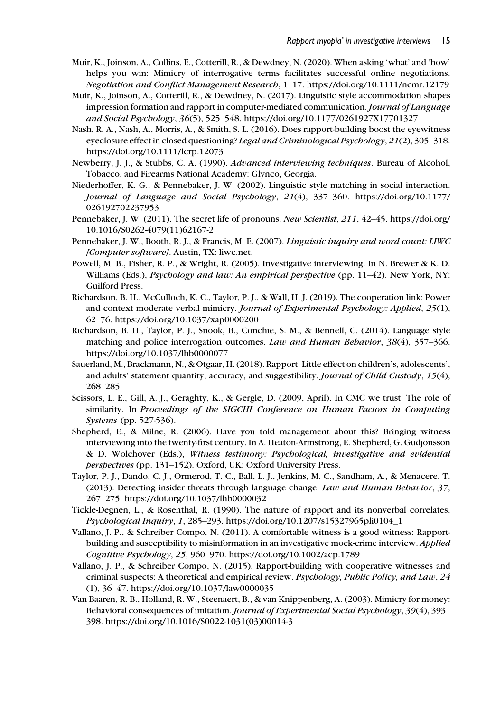- Muir, K., Joinson, A., Collins, E., Cotterill, R., & Dewdney, N. (2020). When asking 'what' and 'how' helps you win: Mimicry of interrogative terms facilitates successful online negotiations. Negotiation and Conflict Management Research, 1–17.<https://doi.org/10.1111/ncmr.12179>
- Muir, K., Joinson, A., Cotterill, R., & Dewdney, N. (2017). Linguistic style accommodation shapes impression formation and rapport in computer-mediated communication. Journal of Language and Social Psychology, 36(5), 525–548.<https://doi.org/10.1177/0261927X17701327>
- Nash, R. A., Nash, A., Morris, A., & Smith, S. L. (2016). Does rapport-building boost the eyewitness eyeclosure effect in closed questioning? Legal and Criminological Psychology, 21(2), 305–318. <https://doi.org/10.1111/lcrp.12073>
- Newberry, J. J., & Stubbs, C. A. (1990). Advanced interviewing techniques. Bureau of Alcohol, Tobacco, and Firearms National Academy: Glynco, Georgia.
- Niederhoffer, K. G., & Pennebaker, J. W. (2002). Linguistic style matching in social interaction. Journal of Language and Social Psychology, 21(4), 337–360. [https://doi.org/10.1177/](https://doi.org/10.1177/026192702237953) [026192702237953](https://doi.org/10.1177/026192702237953)
- Pennebaker, J. W. (2011). The secret life of pronouns. New Scientist, 211, 42–45. [https://doi.org/](https://doi.org/10.1016/S0262-4079(11)62167-2) [10.1016/S0262-4079\(11\)62167-2](https://doi.org/10.1016/S0262-4079(11)62167-2)
- Pennebaker, J. W., Booth, R. J., & Francis, M. E. (2007). Linguistic inquiry and word count: LIWC [Computer software]. Austin, TX: liwc.net.
- Powell, M. B., Fisher, R. P., & Wright, R. (2005). Investigative interviewing. In N. Brewer & K. D. Williams (Eds.), Psychology and law: An empirical perspective (pp. 11-42). New York, NY: Guilford Press.
- Richardson, B. H., McCulloch, K. C., Taylor, P. J., & Wall, H. J. (2019). The cooperation link: Power and context moderate verbal mimicry. Journal of Experimental Psychology: Applied, 25(1), 62–76.<https://doi.org/10.1037/xap0000200>
- Richardson, B. H., Taylor, P. J., Snook, B., Conchie, S. M., & Bennell, C. (2014). Language style matching and police interrogation outcomes. Law and Human Behavior, 38(4), 357-366. <https://doi.org/10.1037/lhb0000077>
- Sauerland, M., Brackmann, N., & Otgaar, H. (2018). Rapport: Little effect on children's, adolescents', and adults' statement quantity, accuracy, and suggestibility. Journal of Child Custody, 15(4), 268–285.
- Scissors, L. E., Gill, A. J., Geraghty, K., & Gergle, D. (2009, April). In CMC we trust: The role of similarity. In Proceedings of the SIGCHI Conference on Human Factors in Computing Systems (pp. 527-536).
- Shepherd, E., & Milne, R. (2006). Have you told management about this? Bringing witness interviewing into the twenty-first century. In A. Heaton-Armstrong, E. Shepherd, G. Gudjonsson & D. Wolchover (Eds.), Witness testimony: Psychological, investigative and evidential perspectives (pp. 131–152). Oxford, UK: Oxford University Press.
- Taylor, P. J., Dando, C. J., Ormerod, T. C., Ball, L. J., Jenkins, M. C., Sandham, A., & Menacere, T. (2013). Detecting insider threats through language change. Law and Human Behavior, 37, 267–275.<https://doi.org/10.1037/lhb0000032>
- Tickle-Degnen, L., & Rosenthal, R. (1990). The nature of rapport and its nonverbal correlates. Psychological Inquiry, 1, 285–293. [https://doi.org/10.1207/s15327965pli0104\\_1](https://doi.org/10.1207/s15327965pli0104_1)
- Vallano, J. P., & Schreiber Compo, N. (2011). A comfortable witness is a good witness: Rapportbuilding and susceptibility to misinformation in an investigative mock-crime interview. Applied Cognitive Psychology, 25, 960–970.<https://doi.org/10.1002/acp.1789>
- Vallano, J. P., & Schreiber Compo, N. (2015). Rapport-building with cooperative witnesses and criminal suspects: A theoretical and empirical review. Psychology, Public Policy, and Law, 24 (1), 36–47.<https://doi.org/10.1037/law0000035>
- Van Baaren, R. B., Holland, R. W., Steenaert, B., & van Knippenberg, A. (2003). Mimicry for money: Behavioral consequences of imitation. Journal of Experimental Social Psychology, 39(4), 393– 398. [https://doi.org/10.1016/S0022-1031\(03\)00014-3](https://doi.org/10.1016/S0022-1031(03)00014-3)